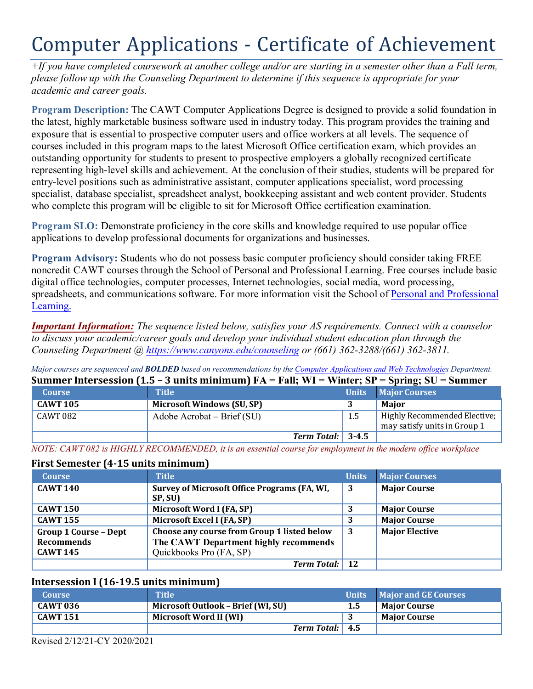# Computer Applications - Certificate of Achievement

*+If you have completed coursework at another college and/or are starting in a semester other than a Fall term, please follow up with the Counseling Department to determine if this sequence is appropriate for your academic and career goals.* 

 exposure that is essential to prospective computer users and office workers at all levels. The sequence of courses included in this program maps to the latest Microsoft Office certification exam, which provides an entry-level positions such as administrative assistant, computer applications specialist, word processing **Program Description:** The CAWT Computer Applications Degree is designed to provide a solid foundation in the latest, highly marketable business software used in industry today. This program provides the training and outstanding opportunity for students to present to prospective employers a globally recognized certificate representing high-level skills and achievement. At the conclusion of their studies, students will be prepared for specialist, database specialist, spreadsheet analyst, bookkeeping assistant and web content provider. Students who complete this program will be eligible to sit for Microsoft Office certification examination.

**Program SLO:** Demonstrate proficiency in the core skills and knowledge required to use popular office applications to develop professional documents for organizations and businesses.

**Program Advisory:** Students who do not possess basic computer proficiency should consider taking FREE noncredit CAWT courses through the School of Personal and Professional Learning. Free courses include basic digital office technologies, computer processes, Internet technologies, social media, word processing, spreadsheets, and communications software. For more information visit the School of Personal and Professional Learning.

*Important Information: The sequence listed below, satisfies your AS requirements. Connect with a counselor to discuss your academic/career goals and develop your individual student education plan through the Counseling Department @<https://www.canyons.edu/counseling>or (661) 362-3288/(661) 362-3811.* 

*Major courses are sequenced and BOLDED based on recommendations by the Computer Applications and Web Technologies Department.*  **Summer Intersession (1.5 – 3 units minimum) FA = Fall; WI = Winter; SP = Spring; SU = Summer** 

| Summer intersession (1.5 – 3 units minimum) $FA - r$ an; W1 – Winter; SF – Spring; SU – Summer |                                        |              |                                                              |
|------------------------------------------------------------------------------------------------|----------------------------------------|--------------|--------------------------------------------------------------|
| <b>Course</b>                                                                                  | <b>Title</b>                           | <b>Units</b> | <b>Major Courses</b>                                         |
| <b>CAWT 105</b>                                                                                | <b>Microsoft Windows (SU, SP)</b>      |              | Maior                                                        |
| CAWT 082                                                                                       | Adobe Acrobat – Brief $(SU)$           | 1.5          | Highly Recommended Elective;<br>may satisfy units in Group 1 |
|                                                                                                | <b>Term Total:</b> $\vert 3-4.5 \vert$ |              |                                                              |

*NOTE: CAWT 082 is HIGHLY RECOMMENDED, it is an essential course for employment in the modern office workplace* 

# **First Semester (4-15 units minimum)**

| <b>Course</b>                | <b>Title</b>                                 | <b>Units</b> | <b>Major Courses</b>  |
|------------------------------|----------------------------------------------|--------------|-----------------------|
| <b>CAWT 140</b>              | Survey of Microsoft Office Programs (FA, WI, | 3            | <b>Major Course</b>   |
|                              | SP, SU)                                      |              |                       |
| <b>CAWT 150</b>              | Microsoft Word I (FA, SP)                    |              | <b>Major Course</b>   |
| <b>CAWT 155</b>              | Microsoft Excel I (FA, SP)                   |              | <b>Major Course</b>   |
| <b>Group 1 Course - Dept</b> | Choose any course from Group 1 listed below  | -3           | <b>Major Elective</b> |
| <b>Recommends</b>            | The CAWT Department highly recommends        |              |                       |
| <b>CAWT 145</b>              | Quickbooks Pro (FA, SP)                      |              |                       |
|                              | <b>Term Total:</b> 12                        |              |                       |

# **Intersession I (16-19.5 units minimum)**

| <b>Course</b>   | <b>Title</b>                       |     | Units Major and GE Courses |
|-----------------|------------------------------------|-----|----------------------------|
| <b>CAWT 036</b> | Microsoft Outlook – Brief (WI, SU) | 1.5 | <b>Major Course</b>        |
| <b>CAWT 151</b> | Microsoft Word II (WI)             |     | <b>Maior Course</b>        |
|                 | Term Total: 4.5                    |     |                            |